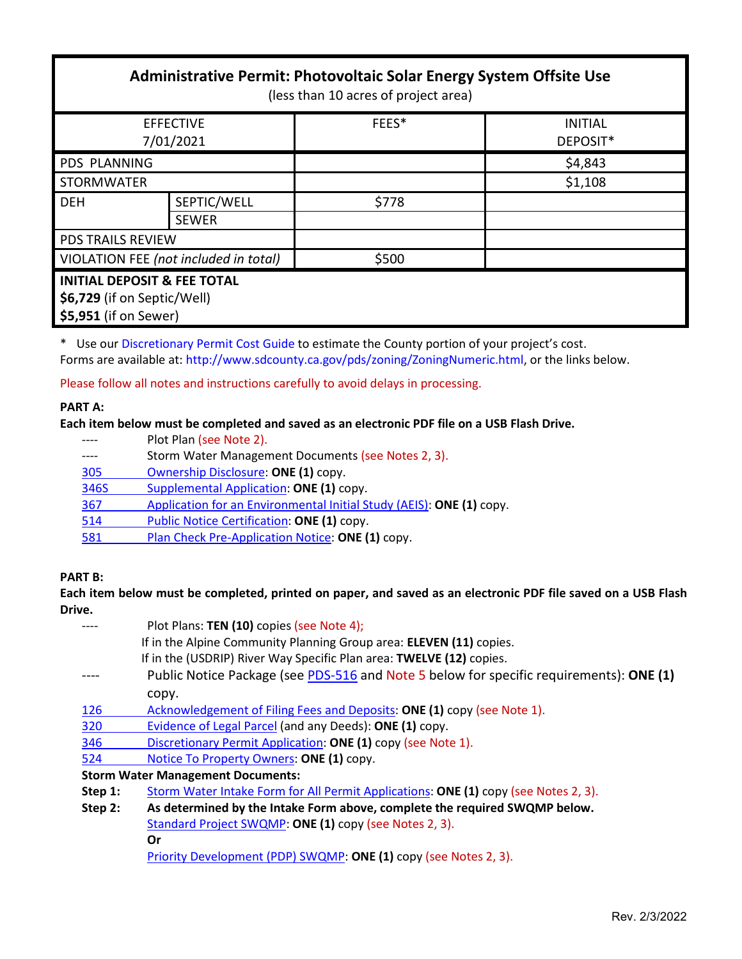| Administrative Permit: Photovoltaic Solar Energy System Offsite Use<br>(less than 10 acres of project area) |              |       |                |  |  |
|-------------------------------------------------------------------------------------------------------------|--------------|-------|----------------|--|--|
| <b>EFFECTIVE</b>                                                                                            |              | FEES* | <b>INITIAL</b> |  |  |
| 7/01/2021                                                                                                   |              |       | DEPOSIT*       |  |  |
| <b>PDS PLANNING</b>                                                                                         |              |       | \$4,843        |  |  |
| <b>STORMWATER</b>                                                                                           |              |       | \$1,108        |  |  |
| <b>DEH</b>                                                                                                  | SEPTIC/WELL  | \$778 |                |  |  |
|                                                                                                             | <b>SEWER</b> |       |                |  |  |
| <b>PDS TRAILS REVIEW</b>                                                                                    |              |       |                |  |  |
| VIOLATION FEE (not included in total)                                                                       |              | \$500 |                |  |  |
| <b>INITIAL DEPOSIT &amp; FEE TOTAL</b><br>\$6,729 (if on Septic/Well)<br>\$5,951 (if on Sewer)              |              |       |                |  |  |

\* Use our [Discretionary Permit Cost Guide](http://www.sandiegocounty.gov/content/dam/sdc/pds/docs/Discretionary_Permit_Cost_Guide.xlsx) to estimate the County portion of your project's cost. Forms are available at: [http://www.sdcounty.ca.gov/pds/zoning/ZoningNumeric.html,](http://www.sdcounty.ca.gov/pds/zoning/ZoningNumeric.html) or the links below.

Please follow all notes and instructions carefully to avoid delays in processing.

### **PART A:**

### **Each item below must be completed and saved as an electronic PDF file on a USB Flash Drive.**

- ---- Plot Plan (see Note 2).
- ---- Storm Water Management Documents (see Notes 2, 3).
- [305 Ownership Disclosure:](https://www.sandiegocounty.gov/content/dam/sdc/pds/zoning/formfields/PDS-PLN-305.pdf) **ONE (1)** copy.
- [346S Supplemental Application:](https://www.sandiegocounty.gov/content/dam/sdc/pds/zoning/formfields/PDS-PLN-346S.pdf) **ONE (1)** copy.
- 367 [Application for an Environmental Initial Study](https://www.sandiegocounty.gov/content/dam/sdc/pds/zoning/formfields/PDS-PLN-367.pdf) (AEIS): **ONE (1)** copy.
- [514 Public Notice Certification:](https://www.sandiegocounty.gov/content/dam/sdc/pds/zoning/formfields/PDS-PLN-514.pdf) **ONE (1)** copy.
- 581 [Plan Check Pre-Application Notice:](https://www.sandiegocounty.gov/content/dam/sdc/pds/zoning/formfields/PDS-PLN-581.pdf) **ONE (1)** copy.

## **PART B:**

### **Each item below must be completed, printed on paper, and saved as an electronic PDF file saved on a USB Flash Drive.**

|         | Plot Plans: TEN (10) copies (see Note 4);                                               |  |  |
|---------|-----------------------------------------------------------------------------------------|--|--|
|         | If in the Alpine Community Planning Group area: ELEVEN (11) copies.                     |  |  |
|         | If in the (USDRIP) River Way Specific Plan area: TWELVE (12) copies.                    |  |  |
|         | Public Notice Package (see PDS-516 and Note 5 below for specific requirements): ONE (1) |  |  |
|         | copy.                                                                                   |  |  |
| 126     | Acknowledgement of Filing Fees and Deposits: ONE (1) copy (see Note 1).                 |  |  |
| 320     | Evidence of Legal Parcel (and any Deeds): ONE (1) copy.                                 |  |  |
| 346     | Discretionary Permit Application: ONE (1) copy (see Note 1).                            |  |  |
| 524     | Notice To Property Owners: ONE (1) copy.                                                |  |  |
|         | <b>Storm Water Management Documents:</b>                                                |  |  |
| Step 1: | Storm Water Intake Form for All Permit Applications: ONE (1) copy (see Notes 2, 3).     |  |  |
| Step 2: | As determined by the Intake Form above, complete the required SWQMP below.              |  |  |
|         | Standard Project SWQMP: ONE (1) copy (see Notes 2, 3).                                  |  |  |
|         | Or                                                                                      |  |  |
|         |                                                                                         |  |  |

[Priority Development \(PDP\) SWQMP:](https://www.sandiegocounty.gov/content/sdc/dpw/watersheds/DevelopmentandConstruction/BMP_Design_Manual.html) **ONE (1)** copy (see Notes 2, 3).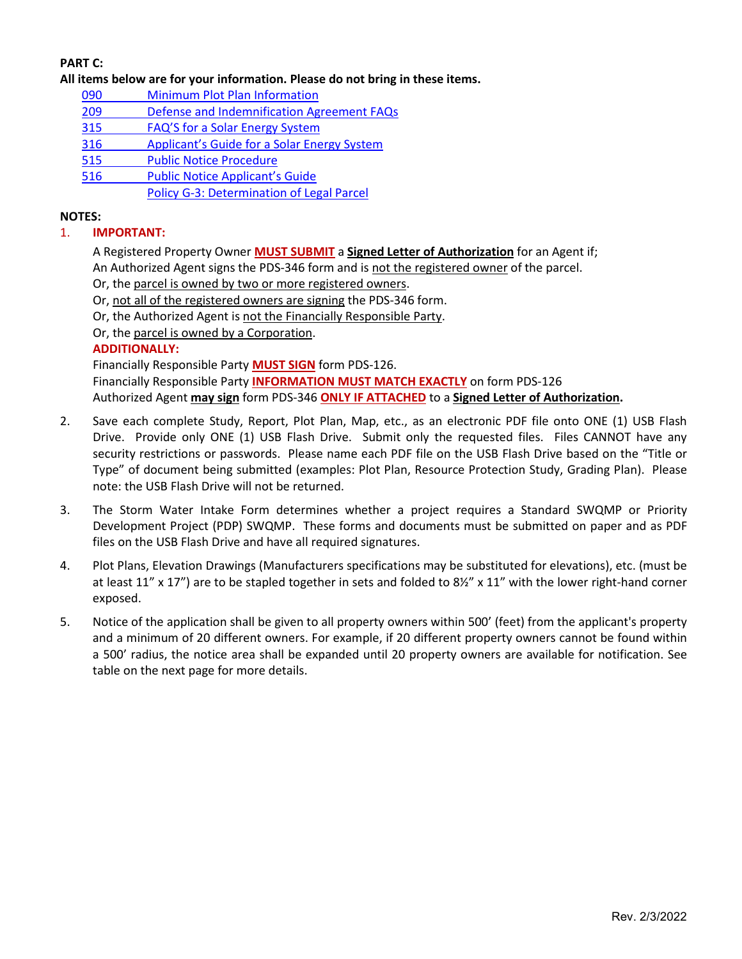# **PART C:**

**All items below are for your information. Please do not bring in these items.**

- 090 [Minimum Plot Plan Information](http://www.sdcounty.ca.gov/pds/docs/pds090.pdf)
- 209 [Defense and Indemnification Agreement FAQs](https://www.sandiegocounty.gov/content/dam/sdc/pds/zoning/formfields/PDS-PLN-209.pdf)
- 315 [FAQ'S for a Solar Energy System](https://www.sandiegocounty.gov/content/dam/sdc/pds/zoning/formfields/PDS-PLN-315.pdf)
- 316 [Applicant's Guide for a Solar Energy System](https://www.sandiegocounty.gov/content/dam/sdc/pds/zoning/formfields/PDS-PLN-316.pdf)
- [515 Public Notice Procedure](https://www.sandiegocounty.gov/content/dam/sdc/pds/zoning/formfields/PDS-PLN-515.pdf)
- [516 Public Notice Applicant's Guide](https://www.sandiegocounty.gov/content/dam/sdc/pds/zoning/formfields/PDS-PLN-516.pdf)

[Policy G-3: Determination of Legal Parcel](http://www.sdcounty.ca.gov/pds/zoning/formfields/POLICY-G-3.pdf)

### **NOTES:**

### 1. **IMPORTANT:**

A Registered Property Owner **MUST SUBMIT** a **Signed Letter of Authorization** for an Agent if; An Authorized Agent signs the PDS-346 form and is not the registered owner of the parcel.

Or, the parcel is owned by two or more registered owners.

Or, not all of the registered owners are signing the PDS-346 form.

Or, the Authorized Agent is not the Financially Responsible Party.

Or, the parcel is owned by a Corporation.

### **ADDITIONALLY:**

Financially Responsible Party **MUST SIGN** form PDS-126.

Financially Responsible Party **INFORMATION MUST MATCH EXACTLY** on form PDS-126 Authorized Agent **may sign** form PDS-346 **ONLY IF ATTACHED** to a **Signed Letter of Authorization.**

- 2. Save each complete Study, Report, Plot Plan, Map, etc., as an electronic PDF file onto ONE (1) USB Flash Drive. Provide only ONE (1) USB Flash Drive. Submit only the requested files. Files CANNOT have any security restrictions or passwords. Please name each PDF file on the USB Flash Drive based on the "Title or Type" of document being submitted (examples: Plot Plan, Resource Protection Study, Grading Plan). Please note: the USB Flash Drive will not be returned.
- 3. The Storm Water Intake Form determines whether a project requires a Standard SWQMP or Priority Development Project (PDP) SWQMP. These forms and documents must be submitted on paper and as PDF files on the USB Flash Drive and have all required signatures.
- 4. Plot Plans, Elevation Drawings (Manufacturers specifications may be substituted for elevations), etc. (must be at least 11" x 17") are to be stapled together in sets and folded to 8½" x 11" with the lower right-hand corner exposed.
- 5. Notice of the application shall be given to all property owners within 500' (feet) from the applicant's property and a minimum of 20 different owners. For example, if 20 different property owners cannot be found within a 500' radius, the notice area shall be expanded until 20 property owners are available for notification. See table on the next page for more details.